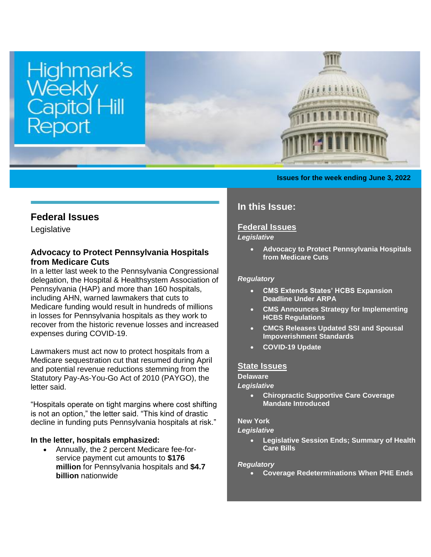

### **Issues for the week ending June 3, 2022**

# **Federal Issues**

Legislative

# **Advocacy to Protect Pennsylvania Hospitals from Medicare Cuts**

In a letter last week to the Pennsylvania Congressional delegation, the Hospital & Healthsystem Association of Pennsylvania (HAP) and more than 160 hospitals, including AHN, warned lawmakers that cuts to Medicare funding would result in hundreds of millions in losses for Pennsylvania hospitals as they work to recover from the historic revenue losses and increased expenses during COVID-19.

Lawmakers must act now to protect hospitals from a Medicare sequestration cut that resumed during April and potential revenue reductions stemming from the Statutory Pay-As-You-Go Act of 2010 (PAYGO), the letter said.

"Hospitals operate on tight margins where cost shifting is not an option," the letter said. "This kind of drastic decline in funding puts Pennsylvania hospitals at risk."

### **In the letter, hospitals emphasized:**

• Annually, the 2 percent Medicare fee-forservice payment cut amounts to **\$176 million** for Pennsylvania hospitals and **\$4.7 billion** nationwide

# **In this Issue:**

## **[Federal Issues](http://images.bipac.net/Files/email/highmark/index.html#1)**

## *Legislative*

• **Advocacy to Protect Pennsylvania Hospitals from Medicare Cuts**

### *Regulatory*

- **[CMS Extends States' HCBS Expansion](#page-1-0)  [Deadline Under ARPA](#page-1-0)**
- **[CMS Announces Strategy for Implementing](#page-1-1)  [HCBS Regulations](#page-1-1)**
- **[CMCS Releases Updated SSI and Spousal](#page-1-2)  [Impoverishment Standards](#page-1-2)**
- **[COVID-19 Update](#page-2-0)**

#### **[State Issues](http://images.bipac.net/Files/email/highmark/index.html#2)**

### **Delaware**

#### *Legislative*

• **[Chiropractic Supportive Care Coverage](#page-2-1)  [Mandate Introduced](#page-2-1)**

#### **New York**

#### *Legislative*

• **[Legislative Session Ends; Summary of Health](#page-2-2)  [Care Bills](#page-2-2)**

#### *Regulatory*

• **[Coverage Redeterminations When PHE Ends](#page-4-0)**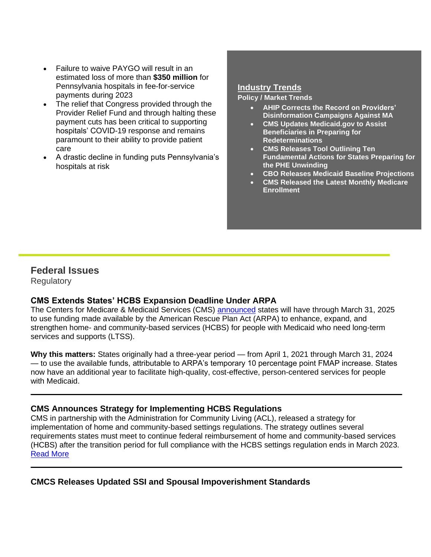- Failure to waive PAYGO will result in an estimated loss of more than **\$350 million** for Pennsylvania hospitals in fee-for-service payments during 2023
- The relief that Congress provided through the Provider Relief Fund and through halting these payment cuts has been critical to supporting hospitals' COVID-19 response and remains paramount to their ability to provide patient care
- A drastic decline in funding puts Pennsylvania's hospitals at risk

### **Industry Trends**

#### **Policy / Market Trends**

- **[AHIP Corrects the Record on Providers'](#page-4-1)  [Disinformation Campaigns Against MA](#page-4-1)**
- **[CMS Updates Medicaid.gov to Assist](#page-5-0)  [Beneficiaries in Preparing for](#page-5-0)  [Redeterminations](#page-5-0)**
- **[CMS Releases Tool Outlining Ten](#page-5-1)  [Fundamental Actions for States Preparing for](#page-5-1)  [the PHE Unwinding](#page-5-1)**
- **[CBO Releases Medicaid Baseline Projections](#page-5-2)**
- **[CMS Released the Latest Monthly Medicare](#page-5-3)  [Enrollment](#page-5-3)**

# **Federal Issues**

**Regulatory** 

# <span id="page-1-0"></span>**CMS Extends States' HCBS Expansion Deadline Under ARPA**

The Centers for Medicare & Medicaid Services (CMS) [announced](http://ahip.informz.net/z/cjUucD9taT0yNTAyNDE5JnA9MSZ1PTUxOTA2NDUzOCZsaT0yNTMyNDU0OA/index.html) states will have through March 31, 2025 to use funding made available by the American Rescue Plan Act (ARPA) to enhance, expand, and strengthen home- and community-based services (HCBS) for people with Medicaid who need long-term services and supports (LTSS).

**Why this matters:** States originally had a three-year period — from April 1, 2021 through March 31, 2024 — to use the available funds, attributable to ARPA's temporary 10 percentage point FMAP increase. States now have an additional year to facilitate high-quality, cost-effective, person-centered services for people with Medicaid.

# <span id="page-1-1"></span>**CMS Announces Strategy for Implementing HCBS Regulations**

CMS in partnership with the Administration for Community Living (ACL), released a strategy for implementation of home and community-based settings regulations. The strategy outlines several requirements states must meet to continue federal reimbursement of home and community-based services (HCBS) after the transition period for full compliance with the HCBS settings regulation ends in March 2023. [Read More](https://www.medicaid.gov/medicaid/home-community-based-services/downloads/hcbs-settings-rule-imp.pdf)

<span id="page-1-2"></span>**CMCS Releases Updated SSI and Spousal Impoverishment Standards**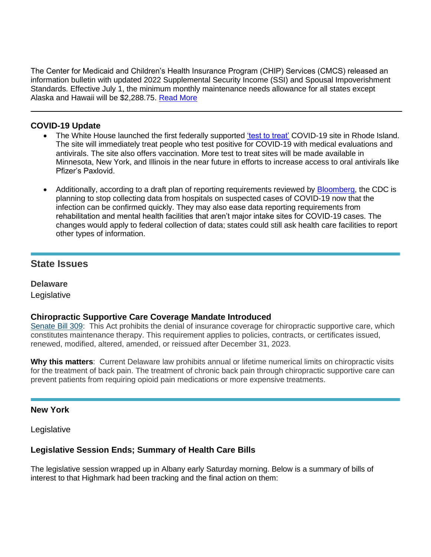The Center for Medicaid and Children's Health Insurance Program (CHIP) Services (CMCS) released an information bulletin with updated 2022 Supplemental Security Income (SSI) and Spousal Impoverishment Standards. Effective July 1, the minimum monthly maintenance needs allowance for all states except Alaska and Hawaii will be \$2,288.75. [Read More](https://www.medicaid.gov/federal-policy-guidance/downloads/cib06022022.pdf)

# <span id="page-2-0"></span>**COVID-19 Update**

- The White House launched the first federally supported ['test to treat'](http://ahip.informz.net/z/cjUucD9taT0yNDk5NzA1JnA9MSZ1PTUxOTA2NDUzOCZsaT0yNTI3OTk1Nw/index.html) COVID-19 site in Rhode Island. The site will immediately treat people who test positive for COVID-19 with medical evaluations and antivirals. The site also offers vaccination. More test to treat sites will be made available in Minnesota, New York, and Illinois in the near future in efforts to increase access to oral antivirals like Pfizer's Paxlovid.
- Additionally, according to a draft plan of reporting requirements reviewed by **Bloomberg**, the CDC is planning to stop collecting data from hospitals on suspected cases of COVID-19 now that the infection can be confirmed quickly. They may also ease data reporting requirements from rehabilitation and mental health facilities that aren't major intake sites for COVID-19 cases. The changes would apply to federal collection of data; states could still ask health care facilities to report other types of information.

# **State Issues**

# **Delaware**

Legislative

## <span id="page-2-1"></span>**Chiropractic Supportive Care Coverage Mandate Introduced**

[Senate Bill 309:](https://legis.delaware.gov/BillDetail?LegislationId=109586) This Act prohibits the denial of insurance coverage for chiropractic supportive care, which constitutes maintenance therapy. This requirement applies to policies, contracts, or certificates issued, renewed, modified, altered, amended, or reissued after December 31, 2023.

**Why this matters**: Current Delaware law prohibits annual or lifetime numerical limits on chiropractic visits for the treatment of back pain. The treatment of chronic back pain through chiropractic supportive care can prevent patients from requiring opioid pain medications or more expensive treatments.

## **New York**

Legislative

## <span id="page-2-2"></span>**Legislative Session Ends; Summary of Health Care Bills**

The legislative session wrapped up in Albany early Saturday morning. Below is a summary of bills of interest to that Highmark had been tracking and the final action on them: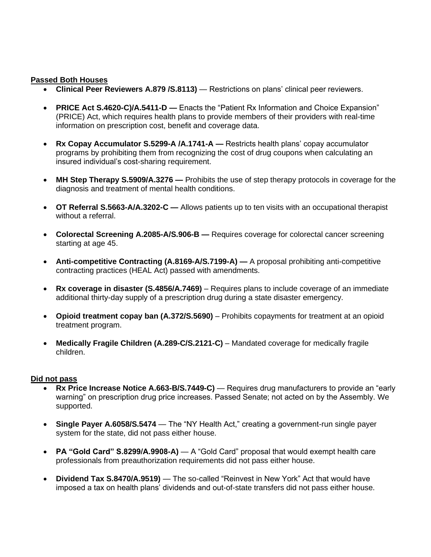### **Passed Both Houses**

- **Clinical Peer Reviewers A.879 /S.8113)**  Restrictions on plans' clinical peer reviewers.
- **PRICE Act S.4620-C)/A.5411-D —** Enacts the "Patient Rx Information and Choice Expansion" (PRICE) Act, which requires health plans to provide members of their providers with real-time information on prescription cost, benefit and coverage data.
- **Rx Copay Accumulator S.5299-A /A.1741-A —** Restricts health plans' copay accumulator programs by prohibiting them from recognizing the cost of drug coupons when calculating an insured individual's cost-sharing requirement.
- **MH Step Therapy S.5909/A.3276 —** Prohibits the use of step therapy protocols in coverage for the diagnosis and treatment of mental health conditions.
- **OT Referral S.5663-A/A.3202-C —** Allows patients up to ten visits with an occupational therapist without a referral.
- **Colorectal Screening A.2085-A/S.906-B —** Requires coverage for colorectal cancer screening starting at age 45.
- **Anti-competitive Contracting (A.8169-A/S.7199-A) —** A proposal prohibiting anti-competitive contracting practices (HEAL Act) passed with amendments.
- **Rx coverage in disaster (S.4856/A.7469)** Requires plans to include coverage of an immediate additional thirty-day supply of a prescription drug during a state disaster emergency.
- **Opioid treatment copay ban (A.372/S.5690)** Prohibits copayments for treatment at an opioid treatment program.
- **Medically Fragile Children (A.289-C/S.2121-C)** Mandated coverage for medically fragile children.

## **Did not pass**

- **Rx Price Increase Notice A.663-B/S.7449-C)** Requires drug manufacturers to provide an "early warning" on prescription drug price increases. Passed Senate; not acted on by the Assembly. We supported.
- **Single Payer A.6058/S.5474** The "NY Health Act," creating a government-run single payer system for the state, did not pass either house.
- **PA "Gold Card" S.8299/A.9908-A)** A "Gold Card" proposal that would exempt health care professionals from preauthorization requirements did not pass either house.
- **Dividend Tax S.8470/A.9519)** The so-called "Reinvest in New York" Act that would have imposed a tax on health plans' dividends and out-of-state transfers did not pass either house.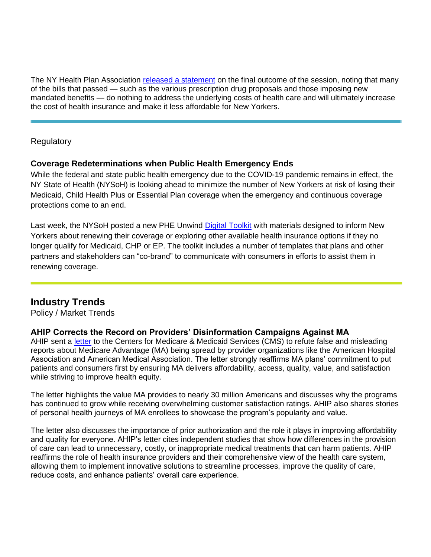The NY Health Plan Association [released a](https://nyhpa.org/wp-content/uploads/2022/06/HPA-on-end-of-session-June-22.pdf) statement on the final outcome of the session, noting that many of the bills that passed — such as the various prescription drug proposals and those imposing new mandated benefits — do nothing to address the underlying costs of health care and will ultimately increase the cost of health insurance and make it less affordable for New Yorkers.

**Regulatory** 

# <span id="page-4-0"></span>**Coverage Redeterminations when Public Health Emergency Ends**

While the federal and state public health emergency due to the COVID-19 pandemic remains in effect, the NY State of Health (NYSoH) is looking ahead to minimize the number of New Yorkers at risk of losing their Medicaid, Child Health Plus or Essential Plan coverage when the emergency and continuous coverage protections come to an end.

Last week, the NYSoH posted a new PHE Unwind [Digital Toolkit](https://secure-web.cisco.com/1LXoaViAdgBLgnUi5QrOhG9hYzC6pwf9WAWc9S3cVhAp9Xd8T6mf3eDrJBLWLLDSvbZivSia8xtrQ0UMUzYS__DCeeTXgaDNfaXefOz1SQhbi_SFyagWjXtCJGVx2FRhDD2Gj3gPsPalZnp-Lh1giyx38A_gBMMmg3kb6W6vOtp4d6FnB79DpifpQswxF6mFiDtvyOM3GcL4X-edKLIT11EJJHGwYmuS8UK4gxXT6c3x5gyxVzwN0Dw-gDJYLkklTpWkaHH_RMBNEdTXT2yS8ELCSvWsFHAdW3cvniaLTkqXC_PlbjauUQOB7VC7UYNfP/https%3A%2F%2Fnyhpa.us15.list-manage.com%2Ftrack%2Fclick%3Fu%3Db77e0923700d547aa4640b092%26id%3D1ff916067b%26e%3D16fec37c74) with materials designed to inform New Yorkers about renewing their coverage or exploring other available health insurance options if they no longer qualify for Medicaid, CHP or EP. The toolkit includes a number of templates that plans and other partners and stakeholders can "co-brand" to communicate with consumers in efforts to assist them in renewing coverage.

# **Industry Trends**

Policy / Market Trends

# <span id="page-4-1"></span>**AHIP Corrects the Record on Providers' Disinformation Campaigns Against MA**

AHIP sent a [letter](http://ahip.informz.net/z/cjUucD9taT0yNTAxNjM0JnA9MSZ1PTUxOTA2NDUzOCZsaT0yNTMxMzMzMg/index.html) to the Centers for Medicare & Medicaid Services (CMS) to refute false and misleading reports about Medicare Advantage (MA) being spread by provider organizations like the American Hospital Association and American Medical Association. The letter strongly reaffirms MA plans' commitment to put patients and consumers first by ensuring MA delivers affordability, access, quality, value, and satisfaction while striving to improve health equity.

The letter highlights the value MA provides to nearly 30 million Americans and discusses why the programs has continued to grow while receiving overwhelming customer satisfaction ratings. AHIP also shares stories of personal health journeys of MA enrollees to showcase the program's popularity and value.

The letter also discusses the importance of prior authorization and the role it plays in improving affordability and quality for everyone. AHIP's letter cites independent studies that show how differences in the provision of care can lead to unnecessary, costly, or inappropriate medical treatments that can harm patients. AHIP reaffirms the role of health insurance providers and their comprehensive view of the health care system, allowing them to implement innovative solutions to streamline processes, improve the quality of care, reduce costs, and enhance patients' overall care experience.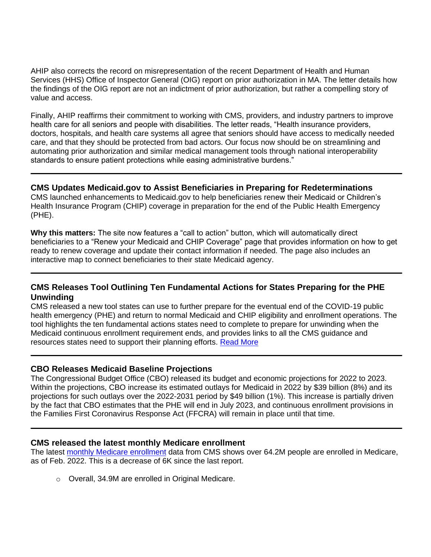AHIP also corrects the record on misrepresentation of the recent Department of Health and Human Services (HHS) Office of Inspector General (OIG) report on prior authorization in MA. The letter details how the findings of the OIG report are not an indictment of prior authorization, but rather a compelling story of value and access.

Finally, AHIP reaffirms their commitment to working with CMS, providers, and industry partners to improve health care for all seniors and people with disabilities. The letter reads, "Health insurance providers, doctors, hospitals, and health care systems all agree that seniors should have access to medically needed care, and that they should be protected from bad actors. Our focus now should be on streamlining and automating prior authorization and similar medical management tools through national interoperability standards to ensure patient protections while easing administrative burdens."

### <span id="page-5-0"></span>**CMS Updates Medicaid.gov to Assist Beneficiaries in Preparing for Redeterminations**

CMS launched enhancements to Medicaid.gov to help beneficiaries renew their Medicaid or Children's Health Insurance Program (CHIP) coverage in preparation for the end of the Public Health Emergency (PHE).

**Why this matters:** The site now features a "call to action" button, which will automatically direct beneficiaries to a "Renew your Medicaid and CHIP Coverage" page that provides information on how to get ready to renew coverage and update their contact information if needed. The page also includes an interactive map to connect beneficiaries to their state Medicaid agency.

# <span id="page-5-1"></span>**CMS Releases Tool Outlining Ten Fundamental Actions for States Preparing for the PHE Unwinding**

CMS released a new tool states can use to further prepare for the eventual end of the COVID-19 public health emergency (PHE) and return to normal Medicaid and CHIP eligibility and enrollment operations. The tool highlights the ten fundamental actions states need to complete to prepare for unwinding when the Medicaid continuous enrollment requirement ends, and provides links to all the CMS guidance and resources states need to support their planning efforts. [Read More](https://www.medicaid.gov/resources-for-states/downloads/top-10-fundamental-actions-to-prepare-for-unwinding-and-resources-to-support-state-efforts.pdf)

## <span id="page-5-2"></span>**CBO Releases Medicaid Baseline Projections**

The Congressional Budget Office (CBO) released its budget and economic projections for 2022 to 2023. Within the projections, CBO increase its estimated outlays for Medicaid in 2022 by \$39 billion (8%) and its projections for such outlays over the 2022-2031 period by \$49 billion (1%). This increase is partially driven by the fact that CBO estimates that the PHE will end in July 2023, and continuous enrollment provisions in the Families First Coronavirus Response Act (FFCRA) will remain in place until that time.

#### <span id="page-5-3"></span>**CMS released the latest monthly Medicare enrollment**

The latest [monthly Medicare enrollment](https://data.cms.gov/summary-statistics-on-beneficiary-enrollment/medicare-and-medicaid-reports/medicare-monthly-enrollment) data from CMS shows over 64.2M people are enrolled in Medicare, as of Feb. 2022. This is a decrease of 6K since the last report.

o Overall, 34.9M are enrolled in Original Medicare.